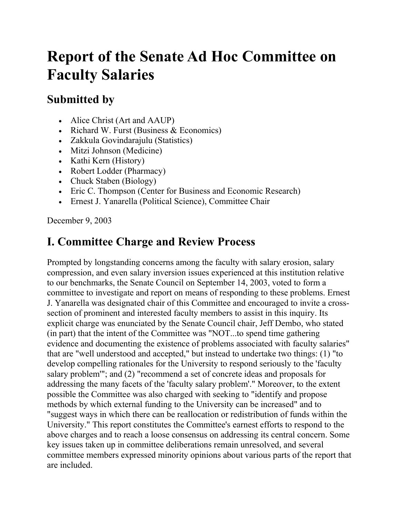# **Report of the Senate Ad Hoc Committee on Faculty Salaries**

### **Submitted by**

- Alice Christ (Art and AAUP)
- Richard W. Furst (Business & Economics)
- Zakkula Govindarajulu (Statistics)
- Mitzi Johnson (Medicine)
- Kathi Kern (History)
- Robert Lodder (Pharmacy)
- Chuck Staben (Biology)
- Eric C. Thompson (Center for Business and Economic Research)
- Ernest J. Yanarella (Political Science), Committee Chair

December 9, 2003

## **I. Committee Charge and Review Process**

Prompted by longstanding concerns among the faculty with salary erosion, salary compression, and even salary inversion issues experienced at this institution relative to our benchmarks, the Senate Council on September 14, 2003, voted to form a committee to investigate and report on means of responding to these problems. Ernest J. Yanarella was designated chair of this Committee and encouraged to invite a crosssection of prominent and interested faculty members to assist in this inquiry. Its explicit charge was enunciated by the Senate Council chair, Jeff Dembo, who stated (in part) that the intent of the Committee was "NOT...to spend time gathering evidence and documenting the existence of problems associated with faculty salaries" that are "well understood and accepted," but instead to undertake two things: (1) "to develop compelling rationales for the University to respond seriously to the 'faculty salary problem'"; and (2) "recommend a set of concrete ideas and proposals for addressing the many facets of the 'faculty salary problem'." Moreover, to the extent possible the Committee was also charged with seeking to "identify and propose methods by which external funding to the University can be increased" and to "suggest ways in which there can be reallocation or redistribution of funds within the University." This report constitutes the Committee's earnest efforts to respond to the above charges and to reach a loose consensus on addressing its central concern. Some key issues taken up in committee deliberations remain unresolved, and several committee members expressed minority opinions about various parts of the report that are included.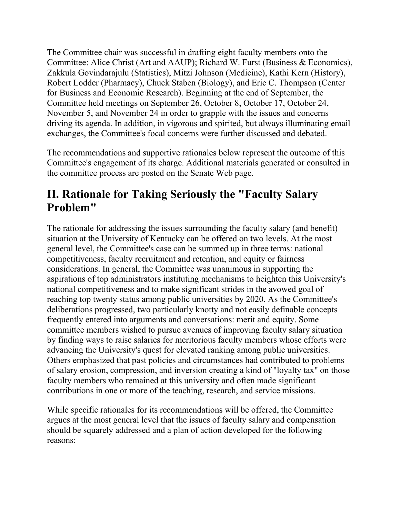The Committee chair was successful in drafting eight faculty members onto the Committee: Alice Christ (Art and AAUP); Richard W. Furst (Business & Economics), Zakkula Govindarajulu (Statistics), Mitzi Johnson (Medicine), Kathi Kern (History), Robert Lodder (Pharmacy), Chuck Staben (Biology), and Eric C. Thompson (Center for Business and Economic Research). Beginning at the end of September, the Committee held meetings on September 26, October 8, October 17, October 24, November 5, and November 24 in order to grapple with the issues and concerns driving its agenda. In addition, in vigorous and spirited, but always illuminating email exchanges, the Committee's focal concerns were further discussed and debated.

The recommendations and supportive rationales below represent the outcome of this Committee's engagement of its charge. Additional materials generated or consulted in the committee process are posted on the Senate Web page.

### **II. Rationale for Taking Seriously the "Faculty Salary Problem"**

The rationale for addressing the issues surrounding the faculty salary (and benefit) situation at the University of Kentucky can be offered on two levels. At the most general level, the Committee's case can be summed up in three terms: national competitiveness, faculty recruitment and retention, and equity or fairness considerations. In general, the Committee was unanimous in supporting the aspirations of top administrators instituting mechanisms to heighten this University's national competitiveness and to make significant strides in the avowed goal of reaching top twenty status among public universities by 2020. As the Committee's deliberations progressed, two particularly knotty and not easily definable concepts frequently entered into arguments and conversations: merit and equity. Some committee members wished to pursue avenues of improving faculty salary situation by finding ways to raise salaries for meritorious faculty members whose efforts were advancing the University's quest for elevated ranking among public universities. Others emphasized that past policies and circumstances had contributed to problems of salary erosion, compression, and inversion creating a kind of "loyalty tax" on those faculty members who remained at this university and often made significant contributions in one or more of the teaching, research, and service missions.

While specific rationales for its recommendations will be offered, the Committee argues at the most general level that the issues of faculty salary and compensation should be squarely addressed and a plan of action developed for the following reasons: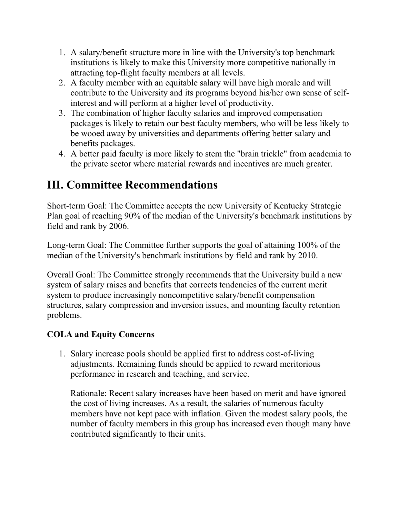- 1. A salary/benefit structure more in line with the University's top benchmark institutions is likely to make this University more competitive nationally in attracting top-flight faculty members at all levels.
- 2. A faculty member with an equitable salary will have high morale and will contribute to the University and its programs beyond his/her own sense of selfinterest and will perform at a higher level of productivity.
- 3. The combination of higher faculty salaries and improved compensation packages is likely to retain our best faculty members, who will be less likely to be wooed away by universities and departments offering better salary and benefits packages.
- 4. A better paid faculty is more likely to stem the "brain trickle" from academia to the private sector where material rewards and incentives are much greater.

### **III. Committee Recommendations**

Short-term Goal: The Committee accepts the new University of Kentucky Strategic Plan goal of reaching 90% of the median of the University's benchmark institutions by field and rank by 2006.

Long-term Goal: The Committee further supports the goal of attaining 100% of the median of the University's benchmark institutions by field and rank by 2010.

Overall Goal: The Committee strongly recommends that the University build a new system of salary raises and benefits that corrects tendencies of the current merit system to produce increasingly noncompetitive salary/benefit compensation structures, salary compression and inversion issues, and mounting faculty retention problems.

#### **COLA and Equity Concerns**

1. Salary increase pools should be applied first to address cost-of-living adjustments. Remaining funds should be applied to reward meritorious performance in research and teaching, and service.

Rationale: Recent salary increases have been based on merit and have ignored the cost of living increases. As a result, the salaries of numerous faculty members have not kept pace with inflation. Given the modest salary pools, the number of faculty members in this group has increased even though many have contributed significantly to their units.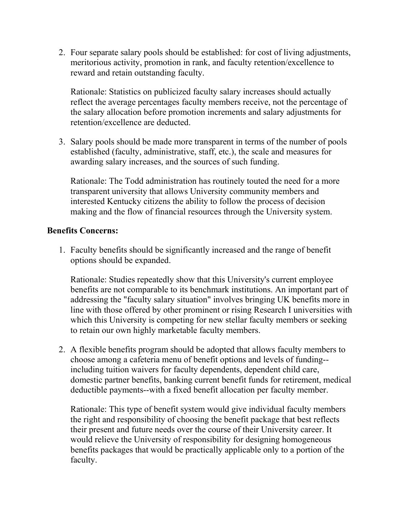2. Four separate salary pools should be established: for cost of living adjustments, meritorious activity, promotion in rank, and faculty retention/excellence to reward and retain outstanding faculty.

Rationale: Statistics on publicized faculty salary increases should actually reflect the average percentages faculty members receive, not the percentage of the salary allocation before promotion increments and salary adjustments for retention/excellence are deducted.

3. Salary pools should be made more transparent in terms of the number of pools established (faculty, administrative, staff, etc.), the scale and measures for awarding salary increases, and the sources of such funding.

Rationale: The Todd administration has routinely touted the need for a more transparent university that allows University community members and interested Kentucky citizens the ability to follow the process of decision making and the flow of financial resources through the University system.

#### **Benefits Concerns:**

1. Faculty benefits should be significantly increased and the range of benefit options should be expanded.

Rationale: Studies repeatedly show that this University's current employee benefits are not comparable to its benchmark institutions. An important part of addressing the "faculty salary situation" involves bringing UK benefits more in line with those offered by other prominent or rising Research I universities with which this University is competing for new stellar faculty members or seeking to retain our own highly marketable faculty members.

2. A flexible benefits program should be adopted that allows faculty members to choose among a cafeteria menu of benefit options and levels of funding- including tuition waivers for faculty dependents, dependent child care, domestic partner benefits, banking current benefit funds for retirement, medical deductible payments--with a fixed benefit allocation per faculty member.

Rationale: This type of benefit system would give individual faculty members the right and responsibility of choosing the benefit package that best reflects their present and future needs over the course of their University career. It would relieve the University of responsibility for designing homogeneous benefits packages that would be practically applicable only to a portion of the faculty.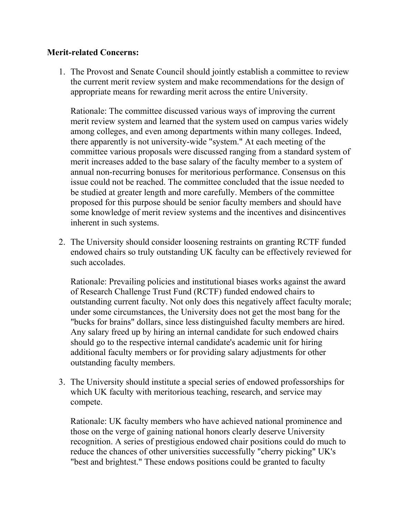#### **Merit-related Concerns:**

1. The Provost and Senate Council should jointly establish a committee to review the current merit review system and make recommendations for the design of appropriate means for rewarding merit across the entire University.

Rationale: The committee discussed various ways of improving the current merit review system and learned that the system used on campus varies widely among colleges, and even among departments within many colleges. Indeed, there apparently is not university-wide "system." At each meeting of the committee various proposals were discussed ranging from a standard system of merit increases added to the base salary of the faculty member to a system of annual non-recurring bonuses for meritorious performance. Consensus on this issue could not be reached. The committee concluded that the issue needed to be studied at greater length and more carefully. Members of the committee proposed for this purpose should be senior faculty members and should have some knowledge of merit review systems and the incentives and disincentives inherent in such systems.

2. The University should consider loosening restraints on granting RCTF funded endowed chairs so truly outstanding UK faculty can be effectively reviewed for such accolades.

Rationale: Prevailing policies and institutional biases works against the award of Research Challenge Trust Fund (RCTF) funded endowed chairs to outstanding current faculty. Not only does this negatively affect faculty morale; under some circumstances, the University does not get the most bang for the "bucks for brains" dollars, since less distinguished faculty members are hired. Any salary freed up by hiring an internal candidate for such endowed chairs should go to the respective internal candidate's academic unit for hiring additional faculty members or for providing salary adjustments for other outstanding faculty members.

3. The University should institute a special series of endowed professorships for which UK faculty with meritorious teaching, research, and service may compete.

Rationale: UK faculty members who have achieved national prominence and those on the verge of gaining national honors clearly deserve University recognition. A series of prestigious endowed chair positions could do much to reduce the chances of other universities successfully "cherry picking" UK's "best and brightest." These endows positions could be granted to faculty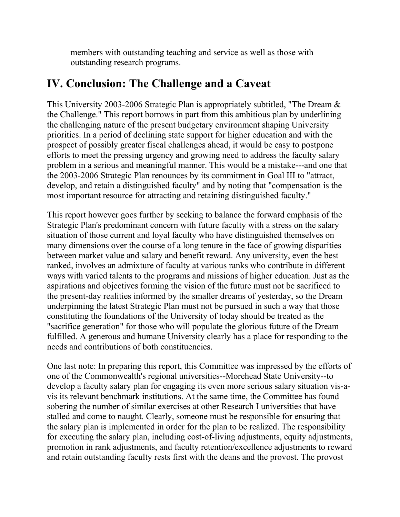members with outstanding teaching and service as well as those with outstanding research programs.

#### **IV. Conclusion: The Challenge and a Caveat**

This University 2003-2006 Strategic Plan is appropriately subtitled, "The Dream & the Challenge." This report borrows in part from this ambitious plan by underlining the challenging nature of the present budgetary environment shaping University priorities. In a period of declining state support for higher education and with the prospect of possibly greater fiscal challenges ahead, it would be easy to postpone efforts to meet the pressing urgency and growing need to address the faculty salary problem in a serious and meaningful manner. This would be a mistake---and one that the 2003-2006 Strategic Plan renounces by its commitment in Goal III to "attract, develop, and retain a distinguished faculty" and by noting that "compensation is the most important resource for attracting and retaining distinguished faculty."

This report however goes further by seeking to balance the forward emphasis of the Strategic Plan's predominant concern with future faculty with a stress on the salary situation of those current and loyal faculty who have distinguished themselves on many dimensions over the course of a long tenure in the face of growing disparities between market value and salary and benefit reward. Any university, even the best ranked, involves an admixture of faculty at various ranks who contribute in different ways with varied talents to the programs and missions of higher education. Just as the aspirations and objectives forming the vision of the future must not be sacrificed to the present-day realities informed by the smaller dreams of yesterday, so the Dream underpinning the latest Strategic Plan must not be pursued in such a way that those constituting the foundations of the University of today should be treated as the "sacrifice generation" for those who will populate the glorious future of the Dream fulfilled. A generous and humane University clearly has a place for responding to the needs and contributions of both constituencies.

One last note: In preparing this report, this Committee was impressed by the efforts of one of the Commonwealth's regional universities--Morehead State University--to develop a faculty salary plan for engaging its even more serious salary situation vis-avis its relevant benchmark institutions. At the same time, the Committee has found sobering the number of similar exercises at other Research I universities that have stalled and come to naught. Clearly, someone must be responsible for ensuring that the salary plan is implemented in order for the plan to be realized. The responsibility for executing the salary plan, including cost-of-living adjustments, equity adjustments, promotion in rank adjustments, and faculty retention/excellence adjustments to reward and retain outstanding faculty rests first with the deans and the provost. The provost